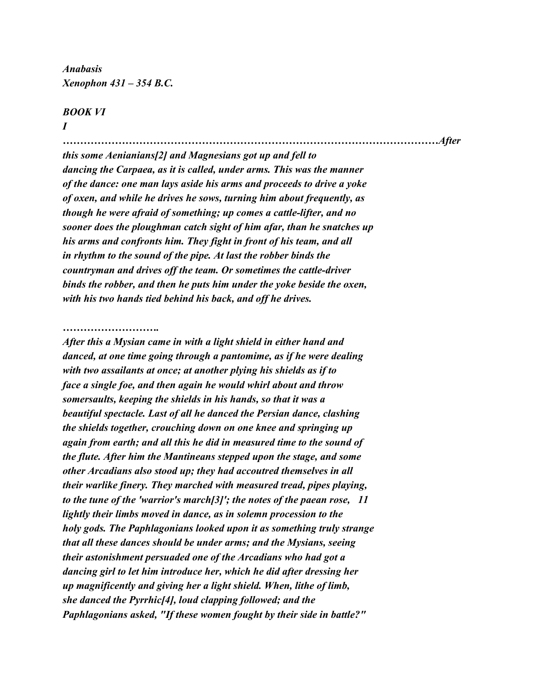*Anabasis Xenophon 431 – 354 B.C.*

## *BOOK VI*

*I*

*………………………………………………………………………………………………After this some Aenianians[2] and Magnesians got up and fell to dancing the Carpaea, as it is called, under arms. This was the manner of the dance: one man lays aside his arms and proceeds to drive a yoke of oxen, and while he drives he sows, turning him about frequently, as though he were afraid of something; up comes a cattle-lifter, and no sooner does the ploughman catch sight of him afar, than he snatches up his arms and confronts him. They fight in front of his team, and all in rhythm to the sound of the pipe. At last the robber binds the countryman and drives off the team. Or sometimes the cattle-driver binds the robber, and then he puts him under the yoke beside the oxen, with his two hands tied behind his back, and off he drives.*

## *……………………….*

*After this a Mysian came in with a light shield in either hand and danced, at one time going through a pantomime, as if he were dealing with two assailants at once; at another plying his shields as if to face a single foe, and then again he would whirl about and throw somersaults, keeping the shields in his hands, so that it was a beautiful spectacle. Last of all he danced the Persian dance, clashing the shields together, crouching down on one knee and springing up again from earth; and all this he did in measured time to the sound of the flute. After him the Mantineans stepped upon the stage, and some other Arcadians also stood up; they had accoutred themselves in all their warlike finery. They marched with measured tread, pipes playing, to the tune of the 'warrior's march[3]'; the notes of the paean rose, 11 lightly their limbs moved in dance, as in solemn procession to the holy gods. The Paphlagonians looked upon it as something truly strange that all these dances should be under arms; and the Mysians, seeing their astonishment persuaded one of the Arcadians who had got a dancing girl to let him introduce her, which he did after dressing her up magnificently and giving her a light shield. When, lithe of limb, she danced the Pyrrhic[4], loud clapping followed; and the Paphlagonians asked, "If these women fought by their side in battle?"*